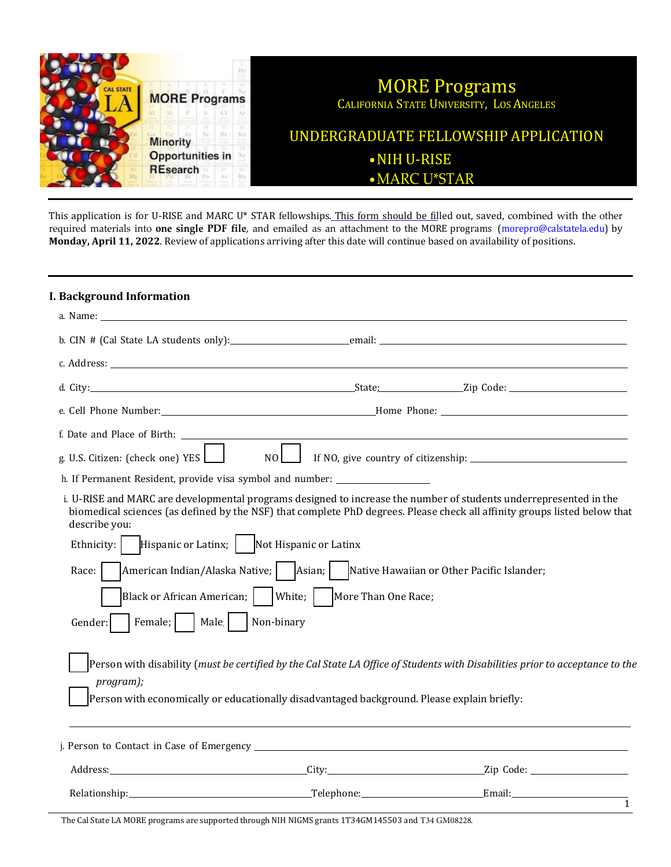

This application is for U-RISE and MARC U\* STAR fellowships. This form should be filled out, saved, combined with the other required materials into **one single PDF file**, and emailed as an attachment to the MORE programs (morepro@calstatela.edu) by **Monday, April 11, 2022**. Review of applications arriving after this date will continue based on availability of positions.

### **I. Background Information**

| a. Name: will be a series of the contract of the contract of the contract of the contract of the contract of the contract of the contract of the contract of the contract of the contract of the contract of the contract of t                                  |  |                                                                                                                               |  |
|-----------------------------------------------------------------------------------------------------------------------------------------------------------------------------------------------------------------------------------------------------------------|--|-------------------------------------------------------------------------------------------------------------------------------|--|
|                                                                                                                                                                                                                                                                 |  |                                                                                                                               |  |
|                                                                                                                                                                                                                                                                 |  |                                                                                                                               |  |
|                                                                                                                                                                                                                                                                 |  |                                                                                                                               |  |
|                                                                                                                                                                                                                                                                 |  |                                                                                                                               |  |
|                                                                                                                                                                                                                                                                 |  |                                                                                                                               |  |
| g. U.S. Citizen: (check one) YES $\Box$<br>$NO$                                                                                                                                                                                                                 |  |                                                                                                                               |  |
| h. If Permanent Resident, provide visa symbol and number: ______________________                                                                                                                                                                                |  |                                                                                                                               |  |
| i. U-RISE and MARC are developmental programs designed to increase the number of students underrepresented in the<br>biomedical sciences (as defined by the NSF) that complete PhD degrees. Please check all affinity groups listed below that<br>describe you: |  |                                                                                                                               |  |
| Ethnicity:   Hispanic or Latinx;   Not Hispanic or Latinx                                                                                                                                                                                                       |  |                                                                                                                               |  |
| Race:                                                                                                                                                                                                                                                           |  |                                                                                                                               |  |
| Black or African American;     White;     More Than One Race;                                                                                                                                                                                                   |  |                                                                                                                               |  |
| Female;     Male     Non-binary<br>Gender:                                                                                                                                                                                                                      |  |                                                                                                                               |  |
| program);<br>Person with economically or educationally disadvantaged background. Please explain briefly:                                                                                                                                                        |  | Person with disability (must be certified by the Cal State LA Office of Students with Disabilities prior to acceptance to the |  |
|                                                                                                                                                                                                                                                                 |  |                                                                                                                               |  |
|                                                                                                                                                                                                                                                                 |  |                                                                                                                               |  |
|                                                                                                                                                                                                                                                                 |  |                                                                                                                               |  |
|                                                                                                                                                                                                                                                                 |  | $\overline{1}$                                                                                                                |  |

The Cal State LA MORE programs are supported through NIH NIGMS grants 1T34GM145503 and T34 GM08228.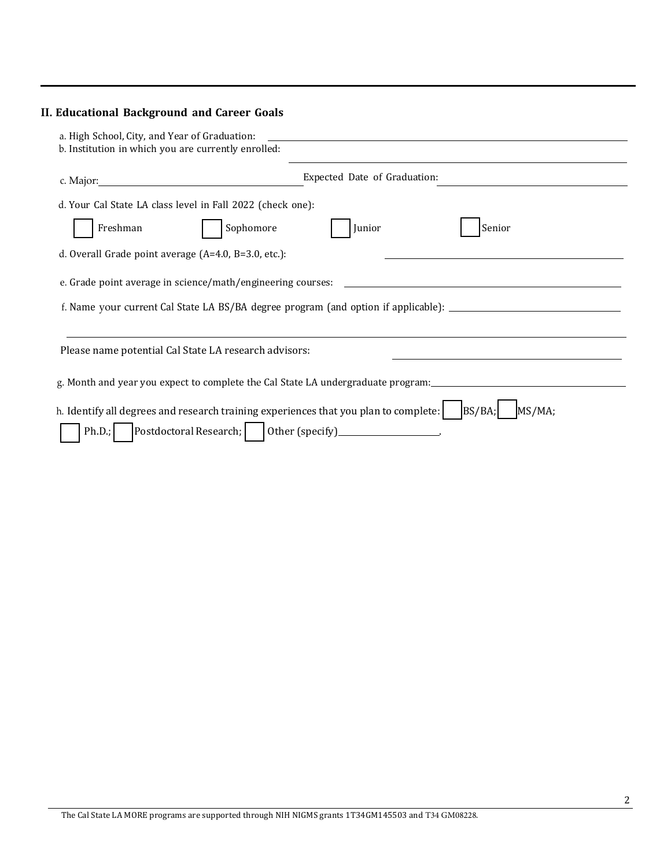# **II. Educational Background and Career Goals**

| a. High School, City, and Year of Graduation:<br>b. Institution in which you are currently enrolled:                                                            |                                                                                                      |  |  |  |
|-----------------------------------------------------------------------------------------------------------------------------------------------------------------|------------------------------------------------------------------------------------------------------|--|--|--|
|                                                                                                                                                                 | Expected Date of Graduation:                                                                         |  |  |  |
| d. Your Cal State LA class level in Fall 2022 (check one):                                                                                                      |                                                                                                      |  |  |  |
| Freshman<br>Sophomore                                                                                                                                           | Senior<br>Junior                                                                                     |  |  |  |
| d. Overall Grade point average (A=4.0, B=3.0, etc.):                                                                                                            |                                                                                                      |  |  |  |
| e. Grade point average in science/math/engineering courses:                                                                                                     |                                                                                                      |  |  |  |
|                                                                                                                                                                 | f. Name your current Cal State LA BS/BA degree program (and option if applicable): _________________ |  |  |  |
| Please name potential Cal State LA research advisors:                                                                                                           |                                                                                                      |  |  |  |
| g. Month and year you expect to complete the Cal State LA undergraduate program:                                                                                |                                                                                                      |  |  |  |
| h. Identify all degrees and research training experiences that you plan to complete:<br>Postdoctoral Research;     0ther (specify) _________________.<br>Ph.D.; | BS/BA;<br>MS/MA;                                                                                     |  |  |  |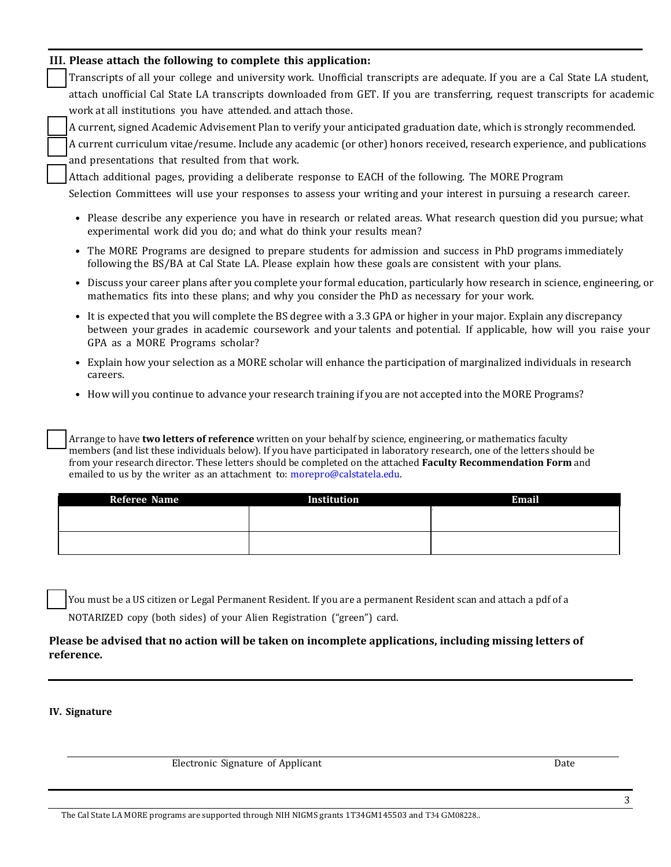### **III. Please attach the following to complete this application:**

Transcripts of all your college and university work. Unofficial transcripts are adequate. If you are a Cal State LA student, attach unofficial Cal State LA transcripts downloaded from GET. If you are transferring, request transcripts for academic work at all institutions you have attended. and attach those.

A current, signed Academic Advisement Plan to verify your anticipated graduation date, which is strongly recommended.

A current curriculum vitae/resume. Include any academic (or other) honors received, research experience, and publications and presentations that resulted from that work.

Attach additional pages, providing a deliberate response to EACH of the following. The MORE Program

Selection Committees will use your responses to assess your writing and your interest in pursuing a research career.

- Please describe any experience you have in research or related areas. What research question did you pursue; what experimental work did you do; and what do think your results mean?
- The MORE Programs are designed to prepare students for admission and success in PhD programs immediately following the BS/BA at Cal State LA. Please explain how these goals are consistent with your plans.
- Discuss your career plans after you complete your formal education, particularly how research in science, engineering, or mathematics fits into these plans; and why you consider the PhD as necessary for your work.
- It is expected that you will complete the BS degree with a 3.3 GPA or higher in your major. Explain any discrepancy between your grades in academic coursework and your talents and potential. If applicable, how will you raise your GPA as a MORE Programs scholar?
- Explain how your selection as a MORE scholar will enhance the participation of marginalized individuals in research careers.
- How will you continue to advance your research training if you are not accepted into the MORE Programs?

Arrange to have **two letters of reference** written on your behalf by science, engineering, or mathematics faculty members (and list these individuals below). If you have participated in laboratory research, one of the letters should be from your research director. These letters should be completed on the attached **Faculty Recommendation Form** and emailed to us by the writer as an attachment to: [morepro@calstatela.edu.](mailto:morepro@calstatela.edu)

| <b>Referee Name</b> | Institution | <b>Email</b> |
|---------------------|-------------|--------------|
|                     |             |              |
|                     |             |              |
|                     |             |              |
|                     |             |              |

You must be a US citizen or Legal Permanent Resident. If you are a permanent Resident scan and attach a pdf of a NOTARIZED copy (both sides) of your Alien Registration ("green") card.

### **Please be advised that no action will be taken on incomplete applications, including missing letters of reference.**

#### **IV. Signature**

Electronic Signature of Applicant Date Date Date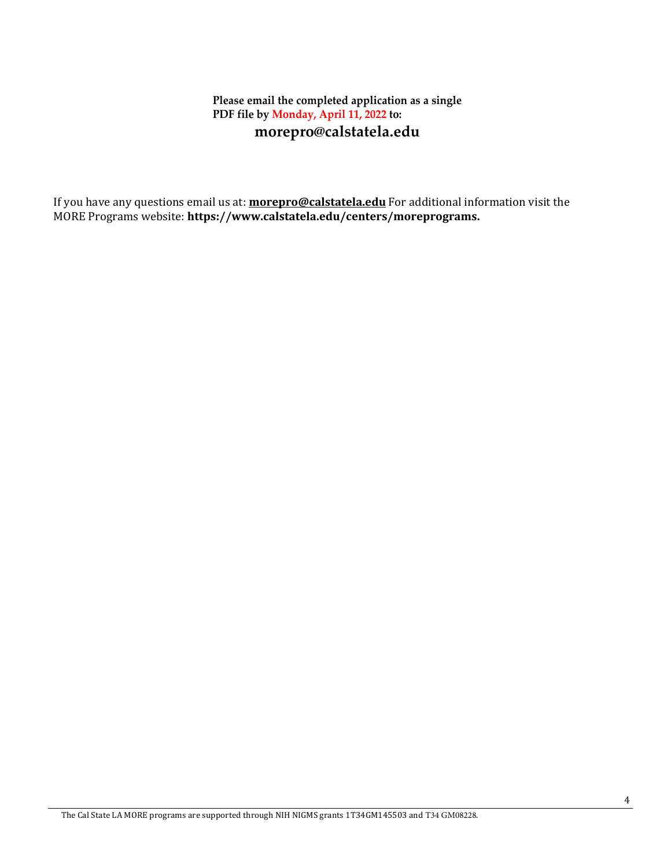# **Please email the completed application as a single PDF file by Monday, April 11, 2022 to: [morepro@calstatela.edu](mailto:morepro@calstatela.edu)**

If you have any questions email us at: **[morepro@calstatela.edu](mailto:morepro@calstatela.edu)** For additional information visit the MORE Programs website: **[https://www.calstatela.edu/centers/moreprograms.](http://www.calstatela.edu/centers/moreprograms)**